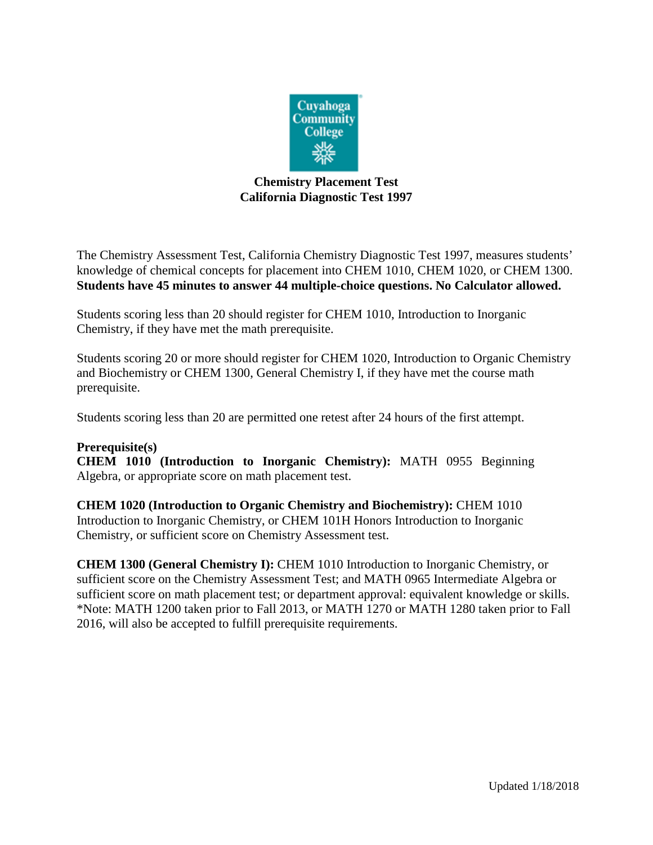

## **Chemistry Placement Test California Diagnostic Test 1997**

The Chemistry Assessment Test, California Chemistry Diagnostic Test 1997, measures students' knowledge of chemical concepts for placement into CHEM 1010, CHEM 1020, or CHEM 1300. **Students have 45 minutes to answer 44 multiple-choice questions. No Calculator allowed.**

Students scoring less than 20 should register for CHEM 1010, Introduction to Inorganic Chemistry, if they have met the math prerequisite.

Students scoring 20 or more should register for CHEM 1020, Introduction to Organic Chemistry and Biochemistry or CHEM 1300, General Chemistry I, if they have met the course math prerequisite.

Students scoring less than 20 are permitted one retest after 24 hours of the first attempt.

## **Prerequisite(s)**

**CHEM 1010 (Introduction to Inorganic Chemistry):** MATH 0955 Beginning Algebra, or appropriate score on math placement test.

**CHEM 1020 (Introduction to Organic Chemistry and Biochemistry):** CHEM 1010 Introduction to Inorganic Chemistry, or CHEM 101H Honors Introduction to Inorganic Chemistry, or sufficient score on Chemistry Assessment test.

**CHEM 1300 (General Chemistry I):** CHEM 1010 Introduction to Inorganic Chemistry, or sufficient score on the Chemistry Assessment Test; and MATH 0965 Intermediate Algebra or sufficient score on math placement test; or department approval: equivalent knowledge or skills. \*Note: MATH 1200 taken prior to Fall 2013, or MATH 1270 or MATH 1280 taken prior to Fall 2016, will also be accepted to fulfill prerequisite requirements.